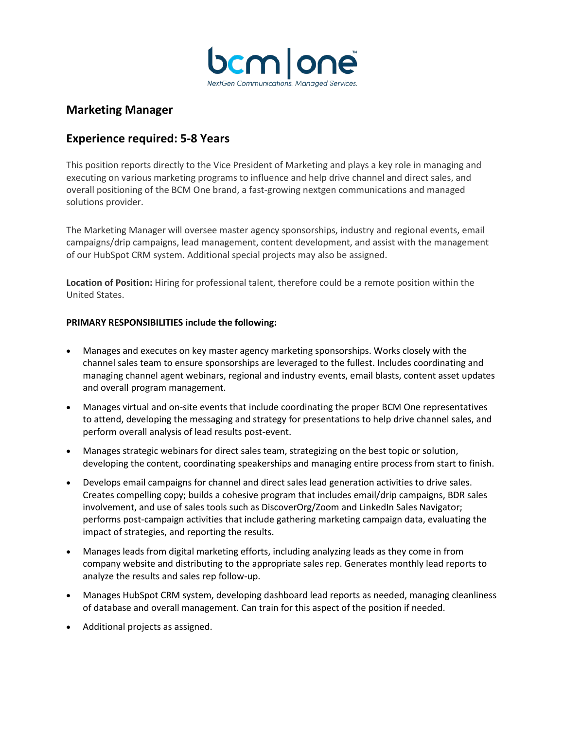

# **Marketing Manager**

# **Experience required: 5-8 Years**

This position reports directly to the Vice President of Marketing and plays a key role in managing and executing on various marketing programs to influence and help drive channel and direct sales, and overall positioning of the BCM One brand, a fast-growing nextgen communications and managed solutions provider.

The Marketing Manager will oversee master agency sponsorships, industry and regional events, email campaigns/drip campaigns, lead management, content development, and assist with the management of our HubSpot CRM system. Additional special projects may also be assigned.

**Location of Position:** Hiring for professional talent, therefore could be a remote position within the United States.

## **PRIMARY RESPONSIBILITIES include the following:**

- Manages and executes on key master agency marketing sponsorships. Works closely with the channel sales team to ensure sponsorships are leveraged to the fullest. Includes coordinating and managing channel agent webinars, regional and industry events, email blasts, content asset updates and overall program management.
- Manages virtual and on-site events that include coordinating the proper BCM One representatives to attend, developing the messaging and strategy for presentations to help drive channel sales, and perform overall analysis of lead results post-event.
- Manages strategic webinars for direct sales team, strategizing on the best topic or solution, developing the content, coordinating speakerships and managing entire process from start to finish.
- Develops email campaigns for channel and direct sales lead generation activities to drive sales. Creates compelling copy; builds a cohesive program that includes email/drip campaigns, BDR sales involvement, and use of sales tools such as DiscoverOrg/Zoom and LinkedIn Sales Navigator; performs post-campaign activities that include gathering marketing campaign data, evaluating the impact of strategies, and reporting the results.
- Manages leads from digital marketing efforts, including analyzing leads as they come in from company website and distributing to the appropriate sales rep. Generates monthly lead reports to analyze the results and sales rep follow-up.
- Manages HubSpot CRM system, developing dashboard lead reports as needed, managing cleanliness of database and overall management. Can train for this aspect of the position if needed.
- Additional projects as assigned.